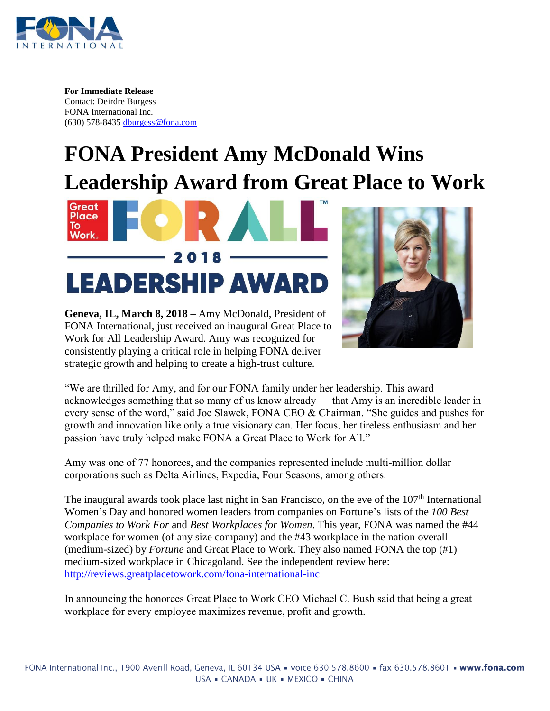

**For Immediate Release** Contact: Deirdre Burgess FONA International Inc. (630) 578-8435 [dburgess@fona.com](mailto:dburgess@fona.com)

## **FONA President Amy McDonald Wins Leadership Award from Great Place to Work**





**Geneva, IL, March 8, 2018 –** Amy McDonald, President of FONA International, just received an inaugural Great Place to Work for All Leadership Award. Amy was recognized for consistently playing a critical role in helping FONA deliver strategic growth and helping to create a high-trust culture.

"We are thrilled for Amy, and for our FONA family under her leadership. This award acknowledges something that so many of us know already — that Amy is an incredible leader in every sense of the word," said Joe Slawek, FONA CEO & Chairman. "She guides and pushes for growth and innovation like only a true visionary can. Her focus, her tireless enthusiasm and her passion have truly helped make FONA a Great Place to Work for All."

Amy was one of 77 honorees, and the companies represented include multi-million dollar corporations such as Delta Airlines, Expedia, Four Seasons, among others.

The inaugural awards took place last night in San Francisco, on the eve of the 107<sup>th</sup> International Women's Day and honored women leaders from companies on Fortune's lists of the *100 Best Companies to Work For* and *Best Workplaces for Women*. This year, FONA was named the #44 workplace for women (of any size company) and the #43 workplace in the nation overall (medium-sized) by *Fortune* and Great Place to Work. They also named FONA the top (#1) medium-sized workplace in Chicagoland. See the independent review here: <http://reviews.greatplacetowork.com/fona-international-inc>

In announcing the honorees Great Place to Work CEO Michael C. Bush said that being a great workplace for every employee maximizes revenue, profit and growth.